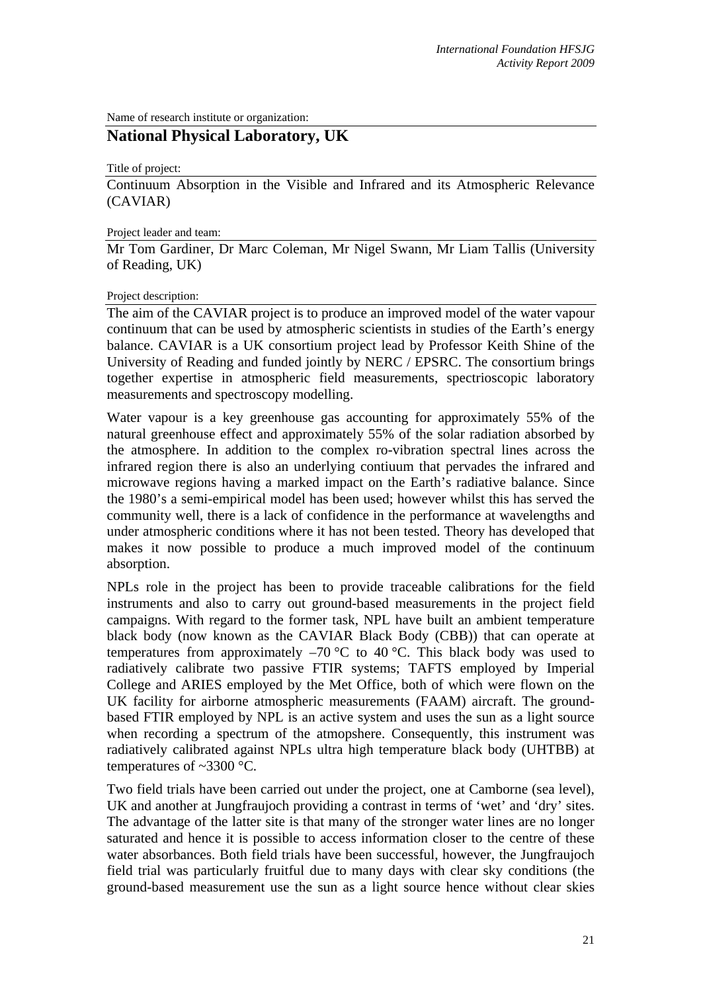Name of research institute or organization:

## **National Physical Laboratory, UK**

Title of project:

Continuum Absorption in the Visible and Infrared and its Atmospheric Relevance (CAVIAR)

## Project leader and team:

Mr Tom Gardiner, Dr Marc Coleman, Mr Nigel Swann, Mr Liam Tallis (University of Reading, UK)

## Project description:

The aim of the CAVIAR project is to produce an improved model of the water vapour continuum that can be used by atmospheric scientists in studies of the Earth's energy balance. CAVIAR is a UK consortium project lead by Professor Keith Shine of the University of Reading and funded jointly by NERC / EPSRC. The consortium brings together expertise in atmospheric field measurements, spectrioscopic laboratory measurements and spectroscopy modelling.

Water vapour is a key greenhouse gas accounting for approximately 55% of the natural greenhouse effect and approximately 55% of the solar radiation absorbed by the atmosphere. In addition to the complex ro-vibration spectral lines across the infrared region there is also an underlying contiuum that pervades the infrared and microwave regions having a marked impact on the Earth's radiative balance. Since the 1980's a semi-empirical model has been used; however whilst this has served the community well, there is a lack of confidence in the performance at wavelengths and under atmospheric conditions where it has not been tested. Theory has developed that makes it now possible to produce a much improved model of the continuum absorption.

NPLs role in the project has been to provide traceable calibrations for the field instruments and also to carry out ground-based measurements in the project field campaigns. With regard to the former task, NPL have built an ambient temperature black body (now known as the CAVIAR Black Body (CBB)) that can operate at temperatures from approximately  $-70$  °C to 40 °C. This black body was used to radiatively calibrate two passive FTIR systems; TAFTS employed by Imperial College and ARIES employed by the Met Office, both of which were flown on the UK facility for airborne atmospheric measurements (FAAM) aircraft. The groundbased FTIR employed by NPL is an active system and uses the sun as a light source when recording a spectrum of the atmopshere. Consequently, this instrument was radiatively calibrated against NPLs ultra high temperature black body (UHTBB) at temperatures of  $\sim$ 3300 °C.

Two field trials have been carried out under the project, one at Camborne (sea level), UK and another at Jungfraujoch providing a contrast in terms of 'wet' and 'dry' sites. The advantage of the latter site is that many of the stronger water lines are no longer saturated and hence it is possible to access information closer to the centre of these water absorbances. Both field trials have been successful, however, the Jungfraujoch field trial was particularly fruitful due to many days with clear sky conditions (the ground-based measurement use the sun as a light source hence without clear skies